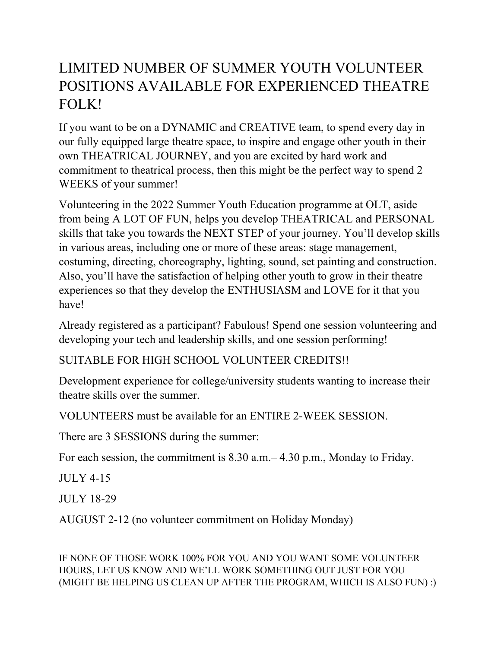## LIMITED NUMBER OF SUMMER YOUTH VOLUNTEER POSITIONS AVAILABLE FOR EXPERIENCED THEATRE FOLK!

If you want to be on a DYNAMIC and CREATIVE team, to spend every day in our fully equipped large theatre space, to inspire and engage other youth in their own THEATRICAL JOURNEY, and you are excited by hard work and commitment to theatrical process, then this might be the perfect way to spend 2 WEEKS of your summer!

Volunteering in the 2022 Summer Youth Education programme at OLT, aside from being A LOT OF FUN, helps you develop THEATRICAL and PERSONAL skills that take you towards the NEXT STEP of your journey. You'll develop skills in various areas, including one or more of these areas: stage management, costuming, directing, choreography, lighting, sound, set painting and construction. Also, you'll have the satisfaction of helping other youth to grow in their theatre experiences so that they develop the ENTHUSIASM and LOVE for it that you have!

Already registered as a participant? Fabulous! Spend one session volunteering and developing your tech and leadership skills, and one session performing!

SUITABLE FOR HIGH SCHOOL VOLUNTEER CREDITS!!

Development experience for college/university students wanting to increase their theatre skills over the summer.

VOLUNTEERS must be available for an ENTIRE 2-WEEK SESSION.

There are 3 SESSIONS during the summer:

For each session, the commitment is 8.30 a.m.– 4.30 p.m., Monday to Friday.

 $JUIX$  4-15

JULY 18-29

AUGUST 2-12 (no volunteer commitment on Holiday Monday)

IF NONE OF THOSE WORK 100% FOR YOU AND YOU WANT SOME VOLUNTEER HOURS, LET US KNOW AND WE'LL WORK SOMETHING OUT JUST FOR YOU (MIGHT BE HELPING US CLEAN UP AFTER THE PROGRAM, WHICH IS ALSO FUN) :)